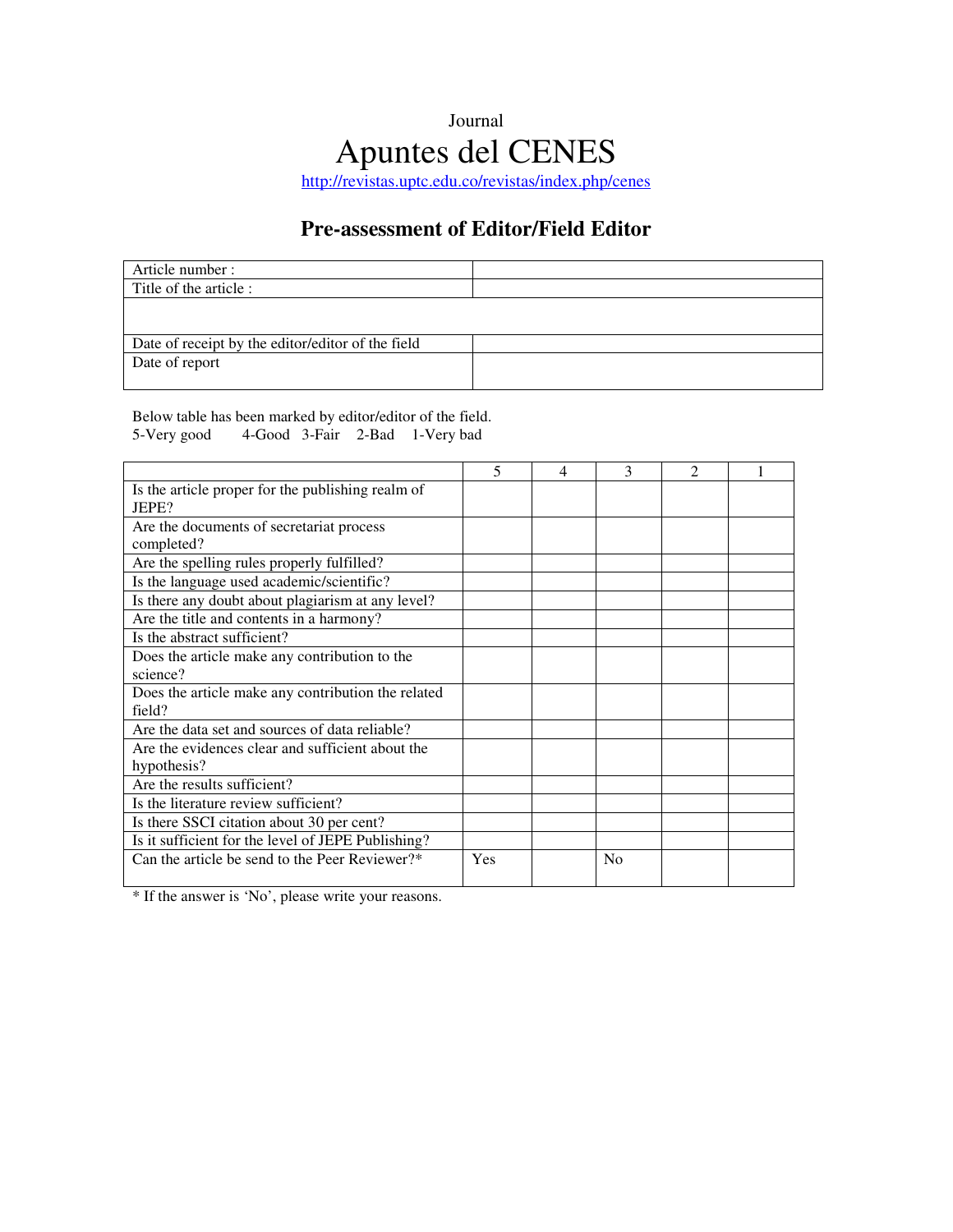#### Journal

# Apuntes del CENES

http://revistas.uptc.edu.co/revistas/index.php/cenes

#### **Pre-assessment of Editor/Field Editor**

| Article number :                                  |  |
|---------------------------------------------------|--|
| Title of the article :                            |  |
|                                                   |  |
|                                                   |  |
| Date of receipt by the editor/editor of the field |  |
| Date of report                                    |  |
|                                                   |  |

Below table has been marked by editor/editor of the field. 5-Very good 4-Good 3-Fair 2-Bad 1-Very bad

|                                                    | 5   | 4 | 3              | $\mathfrak{D}$ |  |
|----------------------------------------------------|-----|---|----------------|----------------|--|
| Is the article proper for the publishing realm of  |     |   |                |                |  |
| JEPE?                                              |     |   |                |                |  |
| Are the documents of secretariat process           |     |   |                |                |  |
| completed?                                         |     |   |                |                |  |
| Are the spelling rules properly fulfilled?         |     |   |                |                |  |
| Is the language used academic/scientific?          |     |   |                |                |  |
| Is there any doubt about plagiarism at any level?  |     |   |                |                |  |
| Are the title and contents in a harmony?           |     |   |                |                |  |
| Is the abstract sufficient?                        |     |   |                |                |  |
| Does the article make any contribution to the      |     |   |                |                |  |
| science?                                           |     |   |                |                |  |
| Does the article make any contribution the related |     |   |                |                |  |
| field?                                             |     |   |                |                |  |
| Are the data set and sources of data reliable?     |     |   |                |                |  |
| Are the evidences clear and sufficient about the   |     |   |                |                |  |
| hypothesis?                                        |     |   |                |                |  |
| Are the results sufficient?                        |     |   |                |                |  |
| Is the literature review sufficient?               |     |   |                |                |  |
| Is there SSCI citation about 30 per cent?          |     |   |                |                |  |
| Is it sufficient for the level of JEPE Publishing? |     |   |                |                |  |
| Can the article be send to the Peer Reviewer?*     | Yes |   | N <sub>0</sub> |                |  |
|                                                    |     |   |                |                |  |

\* If the answer is 'No', please write your reasons.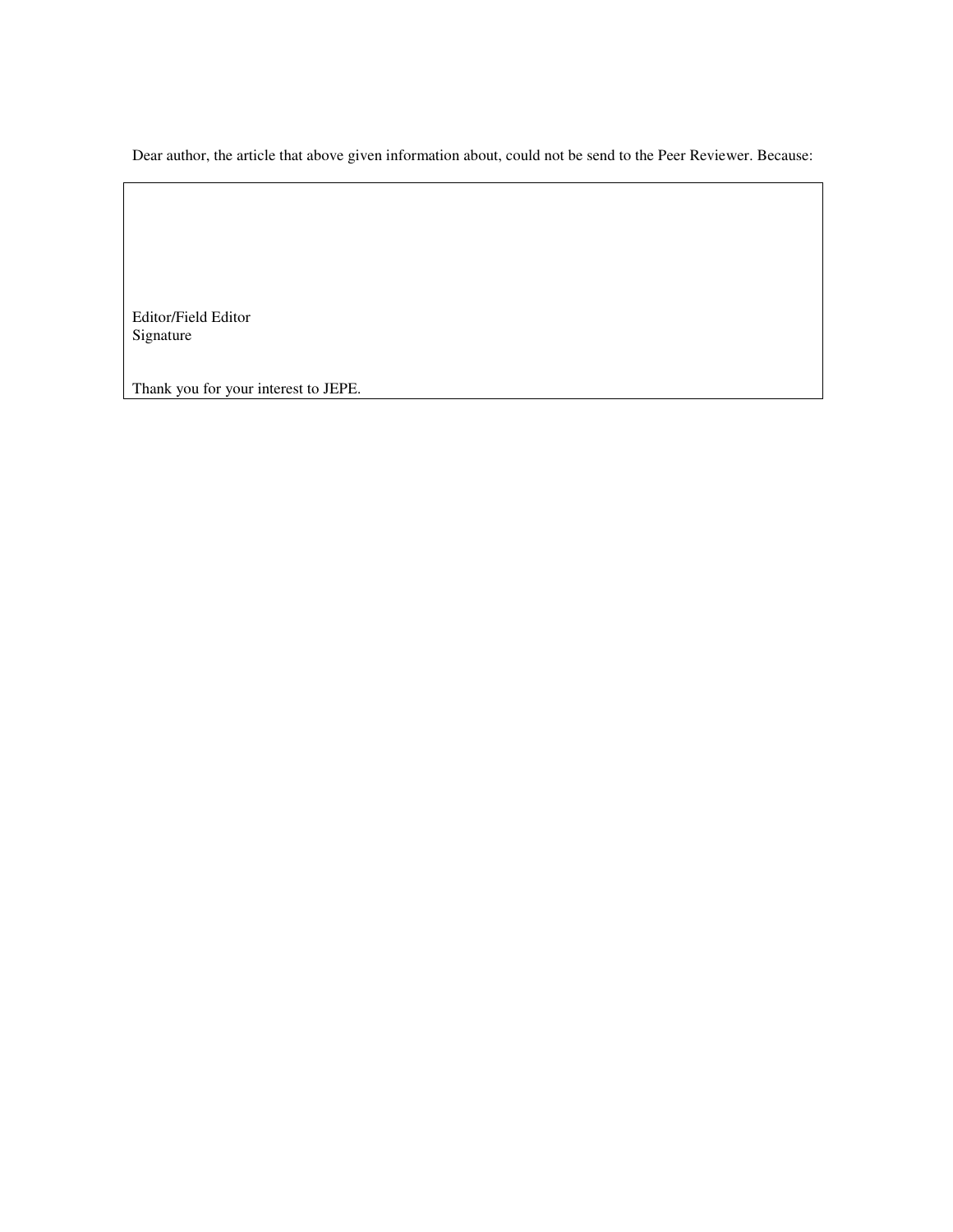Dear author, the article that above given information about, could not be send to the Peer Reviewer. Because:

Editor/Field Editor Signature

Thank you for your interest to JEPE.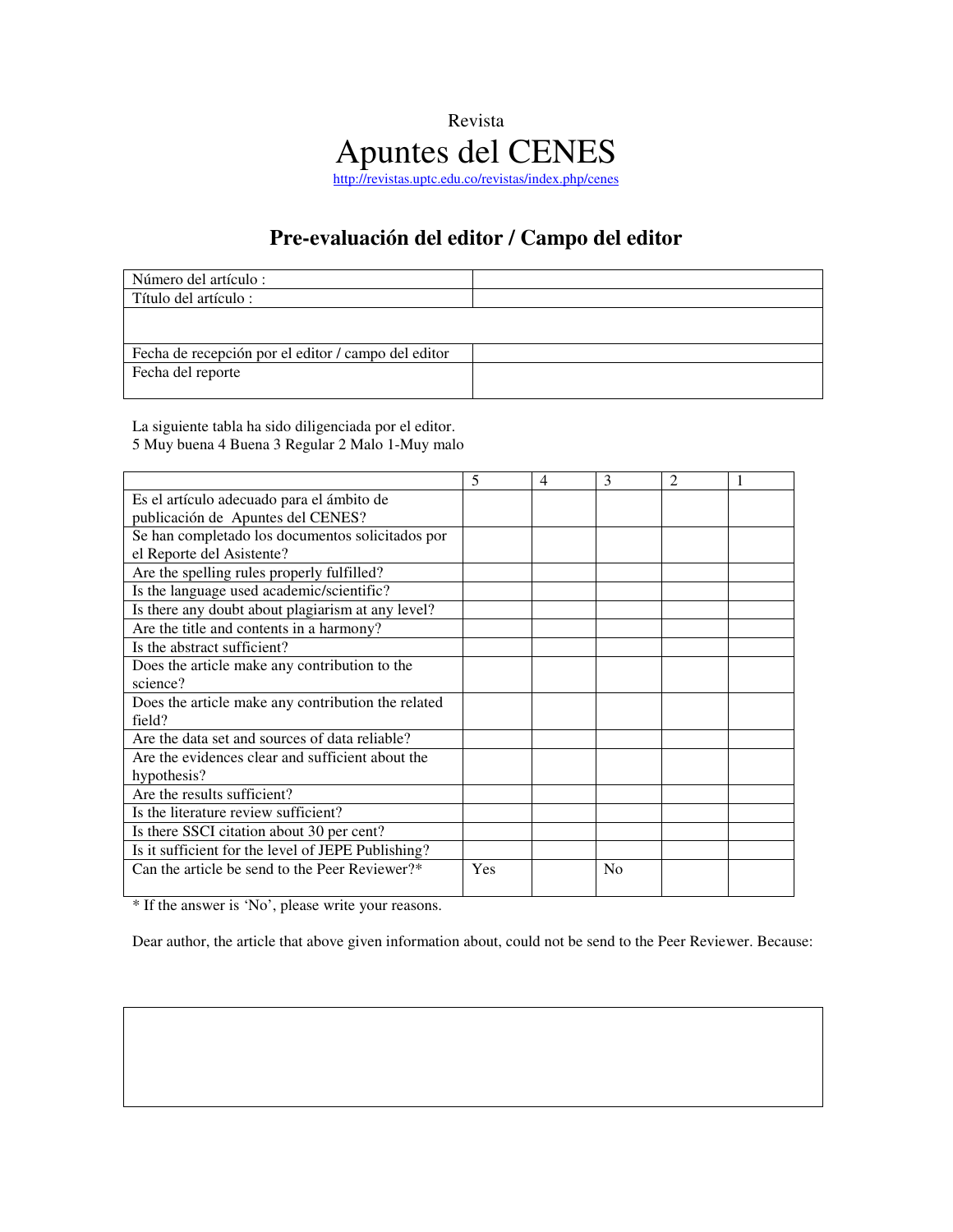### Revista Apuntes del CENES http://revistas.uptc.edu.co/revistas/index.php/cenes

## **Pre-evaluación del editor / Campo del editor**

| Número del artículo :                               |  |
|-----------------------------------------------------|--|
| Título del artículo :                               |  |
|                                                     |  |
|                                                     |  |
| Fecha de recepción por el editor / campo del editor |  |
| Fecha del reporte                                   |  |
|                                                     |  |

La siguiente tabla ha sido diligenciada por el editor. 5 Muy buena 4 Buena 3 Regular 2 Malo 1-Muy malo

|                                                    | 5   | 4 | 3  | 2 |  |
|----------------------------------------------------|-----|---|----|---|--|
| Es el artículo adecuado para el ámbito de          |     |   |    |   |  |
| publicación de Apuntes del CENES?                  |     |   |    |   |  |
| Se han completado los documentos solicitados por   |     |   |    |   |  |
| el Reporte del Asistente?                          |     |   |    |   |  |
| Are the spelling rules properly fulfilled?         |     |   |    |   |  |
| Is the language used academic/scientific?          |     |   |    |   |  |
| Is there any doubt about plagiarism at any level?  |     |   |    |   |  |
| Are the title and contents in a harmony?           |     |   |    |   |  |
| Is the abstract sufficient?                        |     |   |    |   |  |
| Does the article make any contribution to the      |     |   |    |   |  |
| science?                                           |     |   |    |   |  |
| Does the article make any contribution the related |     |   |    |   |  |
| field?                                             |     |   |    |   |  |
| Are the data set and sources of data reliable?     |     |   |    |   |  |
| Are the evidences clear and sufficient about the   |     |   |    |   |  |
| hypothesis?                                        |     |   |    |   |  |
| Are the results sufficient?                        |     |   |    |   |  |
| Is the literature review sufficient?               |     |   |    |   |  |
| Is there SSCI citation about 30 per cent?          |     |   |    |   |  |
| Is it sufficient for the level of JEPE Publishing? |     |   |    |   |  |
| Can the article be send to the Peer Reviewer?*     | Yes |   | No |   |  |
|                                                    |     |   |    |   |  |

\* If the answer is 'No', please write your reasons.

Dear author, the article that above given information about, could not be send to the Peer Reviewer. Because: